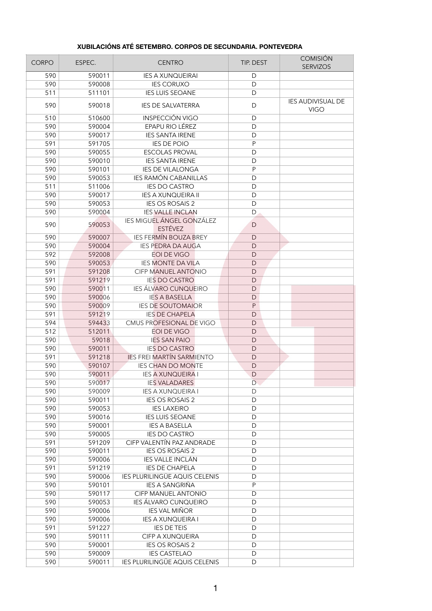## **XUBILACIÓNS ATÉ SETEMBRO. CORPOS DE SECUNDARIA. PONTEVEDRA**

| <b>CORPO</b> | ESPEC. | <b>CENTRO</b>                                      | TIP. DEST    | <b>COMISIÓN</b><br><b>SERVIZOS</b>      |
|--------------|--------|----------------------------------------------------|--------------|-----------------------------------------|
| 590          | 590011 | <b>IES A XUNQUEIRAI</b>                            | D            |                                         |
| 590          | 590008 | <b>IES CORUXO</b>                                  | D            |                                         |
| 511          | 511101 | <b>IES LUIS SEOANE</b>                             | D            |                                         |
| 590          | 590018 | <b>IES DE SALVATERRA</b>                           | D            | <b>IES AUDIVISUAL DE</b><br><b>VIGO</b> |
| 510          | 510600 | INSPECCIÓN VIGO                                    | D            |                                         |
| 590          | 590004 | EPAPU RIO LÉREZ                                    | D            |                                         |
| 590          | 590017 | <b>IES SANTA IRENE</b>                             | D            |                                         |
| 591          | 591705 | <b>IES DE POIO</b>                                 | P            |                                         |
| 590          | 590055 | <b>ESCOLAS PROVAL</b>                              | D            |                                         |
| 590          | 590010 | <b>IES SANTA IRENE</b>                             | D            |                                         |
| 590          | 590101 | <b>IES DE VILALONGA</b>                            | $\mathsf{P}$ |                                         |
| 590          | 590053 | <b>IES RAMÓN CABANILLAS</b>                        | D            |                                         |
| 511          | 511006 | <b>IES DO CASTRO</b>                               | D            |                                         |
| 590          | 590017 | <b>IES A XUNQUEIRA II</b>                          | D            |                                         |
| 590          | 590053 | <b>IES OS ROSAIS 2</b>                             | D            |                                         |
| 590          | 590004 | <b>IES VALLE INCLAN</b>                            | D            |                                         |
| 590          | 590053 | <b>IES MIGUEL ÁNGEL GONZÁLEZ</b><br><b>ESTÉVEZ</b> | D            |                                         |
| 590          | 590007 | <b>IES FERMÍN BOUZA BREY</b>                       | D            |                                         |
| 590          | 590004 | <b>IES PEDRA DA AUGA</b>                           | D            |                                         |
| 592          | 592008 | <b>EOI DE VIGO</b>                                 | D            |                                         |
| 590          | 590053 | <b>IES MONTE DA VILA</b>                           | D            |                                         |
| 591          | 591208 | <b>CIFP MANUEL ANTONIO</b>                         | D            |                                         |
| 591          | 591219 | <b>IES DO CASTRO</b>                               | D            |                                         |
| 590          | 590011 | <b>IES ÁLVARO CUNQUEIRO</b>                        | $\mathsf{D}$ |                                         |
| 590          | 590006 | <b>IES A BASELLA</b>                               | D            |                                         |
| 590          | 590009 | <b>IES DE SOUTOMAIOR</b>                           | P            |                                         |
| 591          | 591219 | <b>IES DE CHAPELA</b>                              | D            |                                         |
| 594          | 594433 | CMUS PROFESIONAL DE VIGO                           | D            |                                         |
| 512          | 512011 | <b>EOI DE VIGO</b>                                 | $\mathsf{D}$ |                                         |
| 590          | 59018  | <b>IES SAN PAIO</b>                                | D            |                                         |
| 590          | 590011 | <b>IES DO CASTRO</b>                               | D            |                                         |
| 591          | 591218 | <b>IES FREI MARTÍN SARMIENTO</b>                   | $\mathsf{D}$ |                                         |
| 590          | 590107 | <b>IES CHAN DO MONTE</b>                           | $\mathsf{D}$ |                                         |
| 590          | 590011 | <b>IES A XUNQUEIRA I</b>                           | D            |                                         |
| 590          | 590017 | <b>IES VALADARES</b>                               | D            |                                         |
| 590          | 590009 | <b>IES A XUNQUEIRA I</b>                           | D            |                                         |
| 590          | 590011 | <b>IES OS ROSAIS 2</b>                             | D            |                                         |
| 590          | 590053 | <b>IES LAXEIRO</b>                                 | D            |                                         |
| 590          | 590016 | <b>IES LUIS SEOANE</b>                             | D            |                                         |
| 590          | 590001 | <b>IES A BASELLA</b>                               | D            |                                         |
| 590          | 590005 | <b>IES DO CASTRO</b>                               | D            |                                         |
| 591          | 591209 | CIFP VALENTÍN PAZ ANDRADE                          | D            |                                         |
| 590          | 590011 | <b>IES OS ROSAIS 2</b>                             | D            |                                         |
| 590          | 590006 | <b>IES VALLE INCLÁN</b>                            | D            |                                         |
| 591          | 591219 | <b>IES DE CHAPELA</b>                              | D            |                                         |
| 590          | 590006 | IES PLURILINGÜE AQUIS CELENIS                      | D            |                                         |
| 590          | 590101 | IES A SANGRIÑA                                     | ${\sf P}$    |                                         |
| 590          | 590117 | CIFP MANUEL ANTONIO                                | D            |                                         |
| 590          | 590053 | <b>IES ÁLVARO CUNQUEIRO</b>                        | D            |                                         |
| 590          | 590006 | <b>IES VAL MIÑOR</b>                               | D            |                                         |
|              |        |                                                    |              |                                         |
| 590          | 590006 | <b>IES A XUNQUEIRA I</b>                           | D            |                                         |
| 591          | 591227 | <b>IES DE TEIS</b>                                 | D            |                                         |
| 590          | 590111 | CIFP A XUNQUEIRA                                   | D            |                                         |
| 590          | 590001 | <b>IES OS ROSAIS 2</b>                             | D            |                                         |
| 590          | 590009 | <b>IES CASTELAO</b>                                | D            |                                         |
| 590          | 590011 | IES PLURILINGÜE AQUIS CELENIS                      | D            |                                         |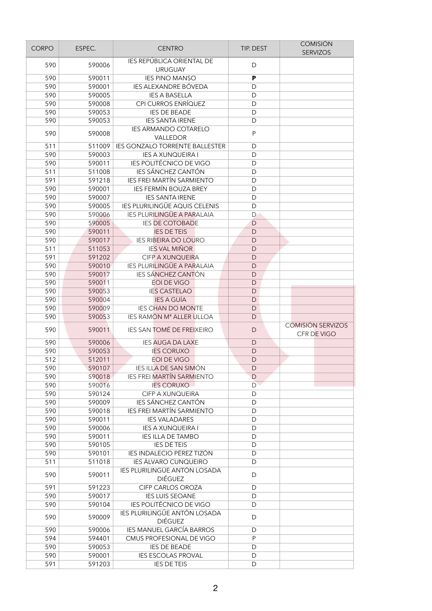| <b>CORPO</b> | ESPEC. | <b>CENTRO</b>                                         | TIP. DEST    | <b>COMISIÓN</b><br><b>SERVIZOS</b>      |
|--------------|--------|-------------------------------------------------------|--------------|-----------------------------------------|
| 590          | 590006 | IES REPÚBLICA ORIENTAL DE<br><b>URUGUAY</b>           | D            |                                         |
| 590          | 590011 | <b>IES PINO MANSO</b>                                 | P            |                                         |
| 590          | 590001 | <b>IES ALEXANDRE BÓVEDA</b>                           | D            |                                         |
| 590          | 590005 | <b>IES A BASELLA</b>                                  | D            |                                         |
| 590          | 590008 | CPI CURROS ENRÍQUEZ                                   | D            |                                         |
| 590          | 590053 | <b>IES DE BEADE</b>                                   | D            |                                         |
| 590          | 590053 | <b>IES SANTA IRENE</b>                                | D            |                                         |
| 590          | 590008 | IES ARMANDO COTARELO<br>VALLEDOR                      | $\sf P$      |                                         |
| 511          | 511009 | <b>IES GONZALO TORRENTE BALLESTER</b>                 | D            |                                         |
| 590          | 590003 | <b>IES A XUNQUEIRA I</b>                              | D            |                                         |
| 590          | 590011 | <b>IES POLITÉCNICO DE VIGO</b>                        | D            |                                         |
| 511          | 511008 | IES SÁNCHEZ CANTÓN                                    | D            |                                         |
| 591          | 591218 | <b>IES FREI MARTÍN SARMIENTO</b>                      | D            |                                         |
| 590          | 590001 | <b>IES FERMÍN BOUZA BREY</b>                          | D            |                                         |
| 590          | 590007 | <b>IES SANTA IRENE</b>                                | D            |                                         |
| 590          | 590005 | IES PLURILINGÜE AQUIS CELENIS                         | D            |                                         |
| 590          | 590006 | <b>IES PLURILINGÜE A PARALAIA</b>                     | D            |                                         |
| 590          | 590005 | <b>IES DE COTOBADE</b>                                | D            |                                         |
| 590          | 590011 | <b>IES DE TEIS</b>                                    | D            |                                         |
| 590          | 590017 | <b>IES RIBEIRA DO LOURO</b>                           | D            |                                         |
| 511          | 511053 | <b>IES VAL MIÑOR</b>                                  | $\mathsf{D}$ |                                         |
| 591          | 591202 |                                                       |              |                                         |
|              |        | CIFP A XUNQUEIRA<br><b>IES PLURILINGÜE A PARALAIA</b> | D            |                                         |
| 590          | 590010 |                                                       | $\mathsf{D}$ |                                         |
| 590          | 590017 | <b>IES SÁNCHEZ CANTÓN</b>                             | D            |                                         |
| 590          | 590011 | EOI DE VIGO                                           | D            |                                         |
| 590          | 590053 | <b>IES CASTELAO</b>                                   | D            |                                         |
| 590          | 590004 | <b>IES A GUÍA</b>                                     | D            |                                         |
| 590          | 590009 | <b>IES CHAN DO MONTE</b>                              | D            |                                         |
| 590          | 590053 | <b>IES RAMÓN Mª ALLER ULLOA</b>                       | D            |                                         |
| 590          | 590011 | <b>IES SAN TOMÉ DE FREIXEIRO</b>                      | $\mathsf{D}$ | <b>COMISIÓN SERVIZOS</b><br>CFR DE VIGO |
| 590          | 590006 | <b>IES AUGA DA LAXE</b>                               | $\mathsf{D}$ |                                         |
| 590          | 590053 | <b>IES CORUXO</b>                                     | $\mathsf{D}$ |                                         |
| 512          | 512011 | <b>EOI DE VIGO</b>                                    | D            |                                         |
| 590          | 590107 | <b>IES ILLA DE SAN SIMÓN</b>                          | D            |                                         |
| 590          | 590018 | <b>IES FREI MARTÍN SARMIENTO</b>                      | D            |                                         |
| 590          | 590016 | <b>IES CORUXO</b>                                     | D            |                                         |
| 590          | 590124 | CIFP A XUNQUEIRA                                      | D            |                                         |
| 590          | 590009 | IES SÁNCHEZ CANTÓN                                    | D            |                                         |
| 590          | 590018 | <b>IES FREI MARTÍN SARMIENTO</b>                      | D            |                                         |
| 590          | 590011 | <b>IES VALADARES</b>                                  | D            |                                         |
| 590          | 590006 | <b>IES A XUNQUEIRA I</b>                              | D            |                                         |
| 590          | 590011 | <b>IES ILLA DE TAMBO</b>                              | D            |                                         |
| 590          | 590105 | <b>IES DE TEIS</b>                                    | D            |                                         |
| 590          | 590101 | IES INDALECIO PÉREZ TIZÓN                             | D            |                                         |
| 511          | 511018 | <b>IES ÁLVARO CUNQUEIRO</b>                           | D            |                                         |
| 590          | 590011 | IES PLURILINGÜE ANTÓN LOSADA<br><b>DIÉGUEZ</b>        | D            |                                         |
| 591          | 591223 | CIFP CARLOS OROZA                                     | D            |                                         |
| 590          | 590017 | <b>IES LUIS SEOANE</b>                                | D            |                                         |
| 590          | 590104 | <b>IES POLITÉCNICO DE VIGO</b>                        | D            |                                         |
| 590          | 590009 | IES PLURILINGÜE ANTÓN LOSADA                          | D            |                                         |
|              |        | <b>DIÉGUEZ</b>                                        |              |                                         |
| 590          | 590006 | IES MANUEL GARCÍA BARROS                              | D            |                                         |
| 594          | 594401 | CMUS PROFESIONAL DE VIGO                              | ${\sf P}$    |                                         |
| 590          | 590053 | <b>IES DE BEADE</b>                                   | D            |                                         |
| 590          | 590001 | <b>IES ESCOLAS PROVAL</b>                             | D            |                                         |
| 591          | 591203 | <b>IES DE TEIS</b>                                    | D            |                                         |